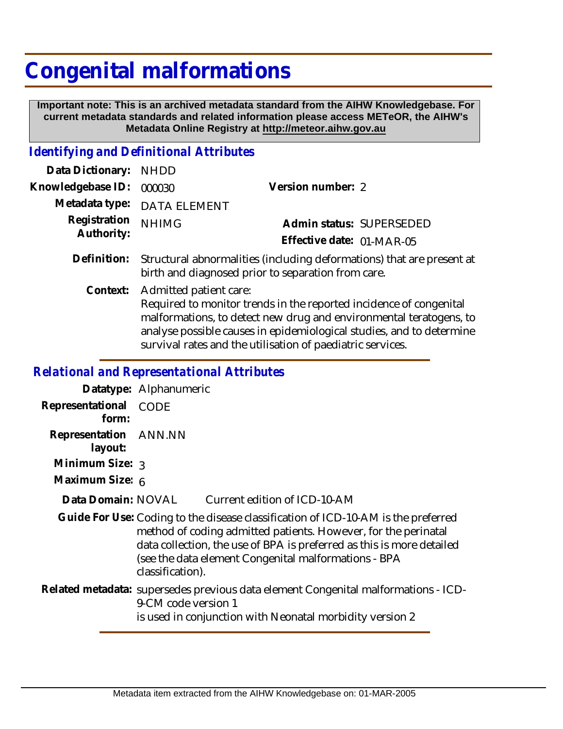## **Congenital malformations**

 **Important note: This is an archived metadata standard from the AIHW Knowledgebase. For current metadata standards and related information please access METeOR, the AIHW's Metadata Online Registry at http://meteor.aihw.gov.au**

## *Identifying and Definitional Attributes*

| Data Dictionary: NHDD      |                                                                                                                             |                           |                          |
|----------------------------|-----------------------------------------------------------------------------------------------------------------------------|---------------------------|--------------------------|
| Knowledgebase ID:          | 000030                                                                                                                      | Version number: 2         |                          |
|                            | Metadata type: DATA ELEMENT                                                                                                 |                           |                          |
| Registration<br>Authority: | <b>NHIMG</b>                                                                                                                |                           | Admin status: SUPERSEDED |
|                            |                                                                                                                             | Effective date: 01-MAR-05 |                          |
| Definition:                | Structural abnormalities (including deformations) that are present at<br>birth and diagnosed prior to separation from care. |                           |                          |

Admitted patient care: Required to monitor trends in the reported incidence of congenital malformations, to detect new drug and environmental teratogens, to analyse possible causes in epidemiological studies, and to determine survival rates and the utilisation of paediatric services. **Context:**

## *Relational and Representational Attributes*

**Datatype:** Alphanumeric **Representational** CODE  **form: Representation** ANN.NN  **layout: Minimum Size:** 3 **Maximum Size:** 6 Current edition of ICD-10-AM **Data Domain:**

Guide For Use: Coding to the disease classification of ICD-10-AM is the preferred method of coding admitted patients. However, for the perinatal data collection, the use of BPA is preferred as this is more detailed (see the data element Congenital malformations - BPA classification).

Related metadata: supersedes previous data element Congenital malformations - ICD-9-CM code version 1 is used in conjunction with Neonatal morbidity version 2